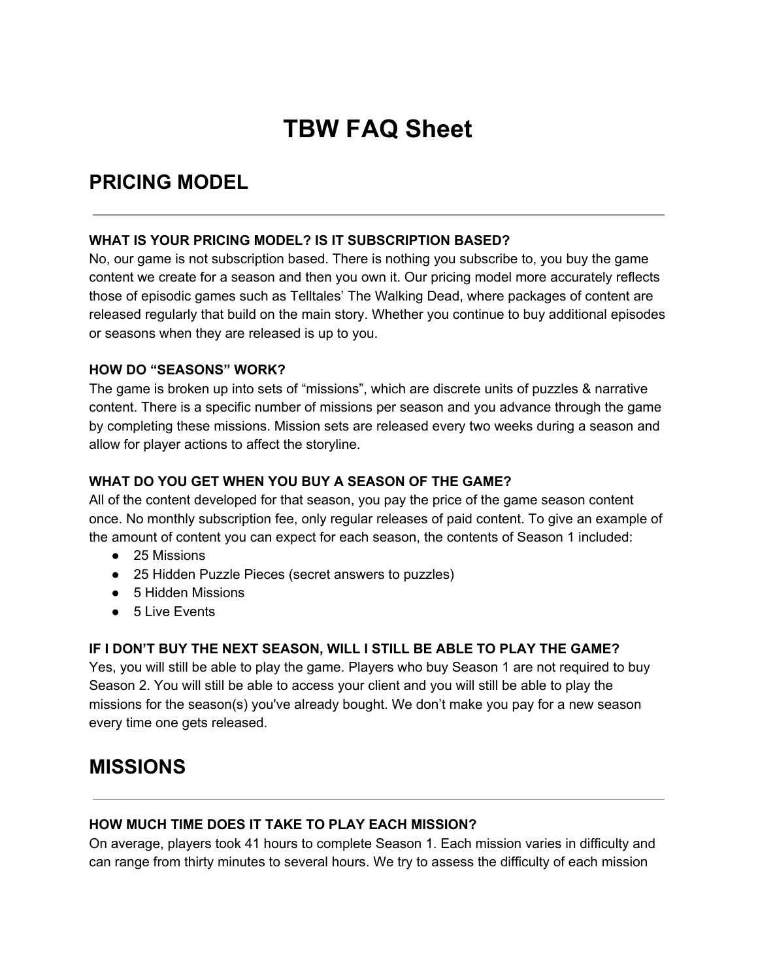# **TBW FAQ Sheet**

## **PRICING MODEL**

#### **WHAT IS YOUR PRICING MODEL? IS IT SUBSCRIPTION BASED?**

No, our game is not subscription based. There is nothing you subscribe to, you buy the game content we create for a season and then you own it. Our pricing model more accurately reflects those of episodic games such as Telltales' The Walking Dead, where packages of content are released regularly that build on the main story. Whether you continue to buy additional episodes or seasons when they are released is up to you.

#### **HOW DO "SEASONS" WORK?**

The game is broken up into sets of "missions", which are discrete units of puzzles & narrative content. There is a specific number of missions per season and you advance through the game by completing these missions. Mission sets are released every two weeks during a season and allow for player actions to affect the storyline.

#### **WHAT DO YOU GET WHEN YOU BUY A SEASON OF THE GAME?**

All of the content developed for that season, you pay the price of the game season content once. No monthly subscription fee, only regular releases of paid content. To give an example of the amount of content you can expect for each season, the contents of Season 1 included:

- 25 Missions
- 25 Hidden Puzzle Pieces (secret answers to puzzles)
- 5 Hidden Missions
- 5 Live Events

#### **IF I DON'T BUY THE NEXT SEASON, WILL I STILL BE ABLE TO PLAY THE GAME?**

Yes, you will still be able to play the game. Players who buy Season 1 are not required to buy Season 2. You will still be able to access your client and you will still be able to play the missions for the season(s) you've already bought. We don't make you pay for a new season every time one gets released.

### **MISSIONS**

#### **HOW MUCH TIME DOES IT TAKE TO PLAY EACH MISSION?**

On average, players took 41 hours to complete Season 1. Each mission varies in difficulty and can range from thirty minutes to several hours. We try to assess the difficulty of each mission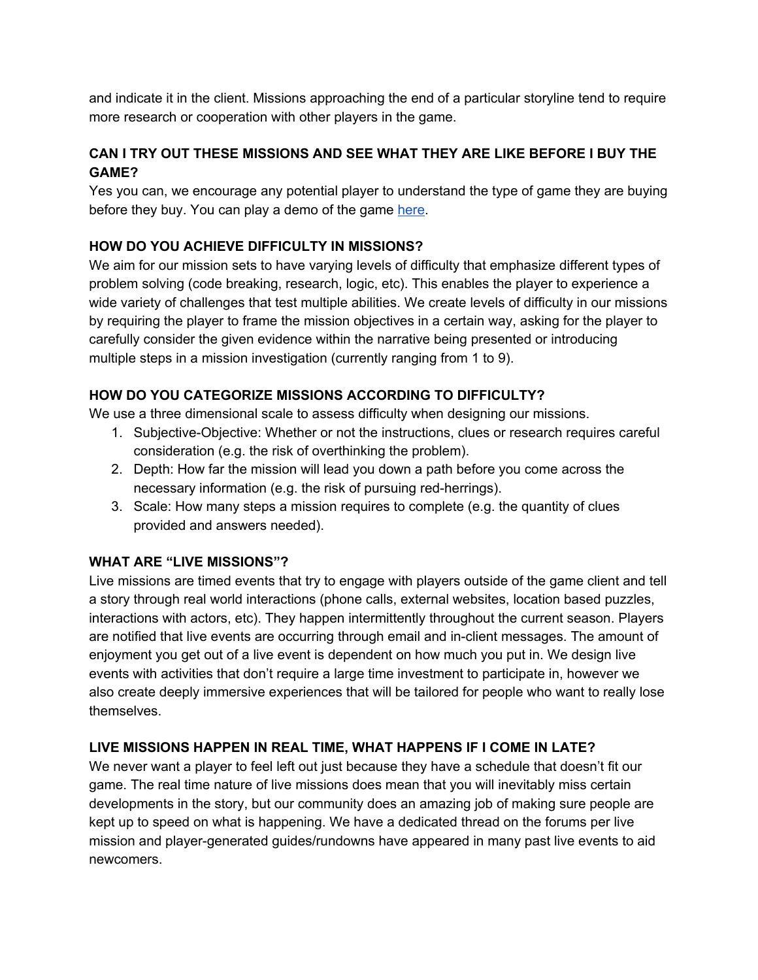and indicate it in the client. Missions approaching the end of a particular storyline tend to require more research or cooperation with other players in the game.

#### **CAN I TRY OUT THESE MISSIONS AND SEE WHAT THEY ARE LIKE BEFORE I BUY THE GAME?**

Yes you can, we encourage any potential player to understand the type of game they are buying before they buy. You can play a demo of the game [here.](http://store.steampowered.com/app/383430/)

#### **HOW DO YOU ACHIEVE DIFFICULTY IN MISSIONS?**

We aim for our mission sets to have varying levels of difficulty that emphasize different types of problem solving (code breaking, research, logic, etc). This enables the player to experience a wide variety of challenges that test multiple abilities. We create levels of difficulty in our missions by requiring the player to frame the mission objectives in a certain way, asking for the player to carefully consider the given evidence within the narrative being presented or introducing multiple steps in a mission investigation (currently ranging from 1 to 9).

#### **HOW DO YOU CATEGORIZE MISSIONS ACCORDING TO DIFFICULTY?**

We use a three dimensional scale to assess difficulty when designing our missions.

- 1. Subjective-Objective: Whether or not the instructions, clues or research requires careful consideration (e.g. the risk of overthinking the problem).
- 2. Depth: How far the mission will lead you down a path before you come across the necessary information (e.g. the risk of pursuing red-herrings).
- 3. Scale: How many steps a mission requires to complete (e.g. the quantity of clues provided and answers needed).

#### **WHAT ARE "LIVE MISSIONS"?**

Live missions are timed events that try to engage with players outside of the game client and tell a story through real world interactions (phone calls, external websites, location based puzzles, interactions with actors, etc). They happen intermittently throughout the current season. Players are notified that live events are occurring through email and in-client messages. The amount of enjoyment you get out of a live event is dependent on how much you put in. We design live events with activities that don't require a large time investment to participate in, however we also create deeply immersive experiences that will be tailored for people who want to really lose themselves.

#### **LIVE MISSIONS HAPPEN IN REAL TIME, WHAT HAPPENS IF I COME IN LATE?**

We never want a player to feel left out just because they have a schedule that doesn't fit our game. The real time nature of live missions does mean that you will inevitably miss certain developments in the story, but our community does an amazing job of making sure people are kept up to speed on what is happening. We have a dedicated thread on the forums per live mission and player-generated guides/rundowns have appeared in many past live events to aid newcomers.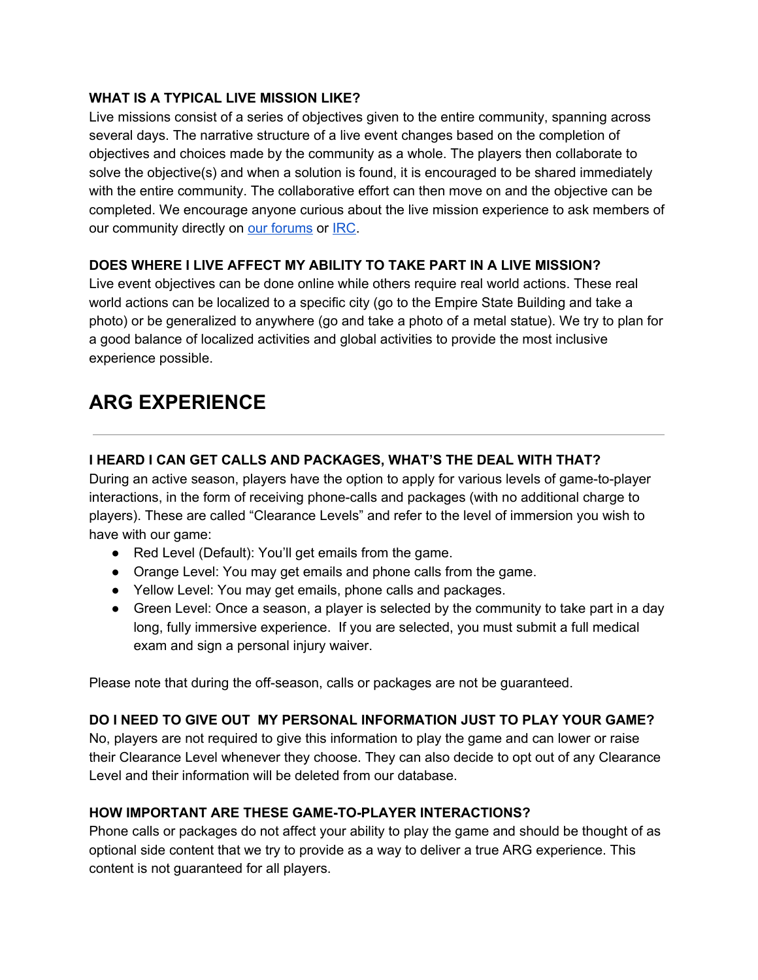#### **WHAT IS A TYPICAL LIVE MISSION LIKE?**

Live missions consist of a series of objectives given to the entire community, spanning across several days. The narrative structure of a live event changes based on the completion of objectives and choices made by the community as a whole. The players then collaborate to solve the objective(s) and when a solution is found, it is encouraged to be shared immediately with the entire community. The collaborative effort can then move on and the objective can be completed. We encourage anyone curious about the live mission experience to ask members of our community directly on our [forums](http://forums.blackwatchmen.com/index.php) or [IRC.](https://kiwiirc.com/client/irc.blackwatchmen.com/division66)

#### **DOES WHERE I LIVE AFFECT MY ABILITY TO TAKE PART IN A LIVE MISSION?**

Live event objectives can be done online while others require real world actions. These real world actions can be localized to a specific city (go to the Empire State Building and take a photo) or be generalized to anywhere (go and take a photo of a metal statue). We try to plan for a good balance of localized activities and global activities to provide the most inclusive experience possible.

## **ARG EXPERIENCE**

#### **I HEARD I CAN GET CALLS AND PACKAGES, WHAT'S THE DEAL WITH THAT?**

During an active season, players have the option to apply for various levels of game-to-player interactions, in the form of receiving phone-calls and packages (with no additional charge to players). These are called "Clearance Levels" and refer to the level of immersion you wish to have with our game:

- Red Level (Default): You'll get emails from the game.
- Orange Level: You may get emails and phone calls from the game.
- Yellow Level: You may get emails, phone calls and packages.
- Green Level: Once a season, a player is selected by the community to take part in a day long, fully immersive experience. If you are selected, you must submit a full medical exam and sign a personal injury waiver.

Please note that during the off-season, calls or packages are not be guaranteed.

#### **DO I NEED TO GIVE OUT MY PERSONAL INFORMATION JUST TO PLAY YOUR GAME?**

No, players are not required to give this information to play the game and can lower or raise their Clearance Level whenever they choose. They can also decide to opt out of any Clearance Level and their information will be deleted from our database.

#### **HOW IMPORTANT ARE THESE GAMETOPLAYER INTERACTIONS?**

Phone calls or packages do not affect your ability to play the game and should be thought of as optional side content that we try to provide as a way to deliver a true ARG experience. This content is not guaranteed for all players.